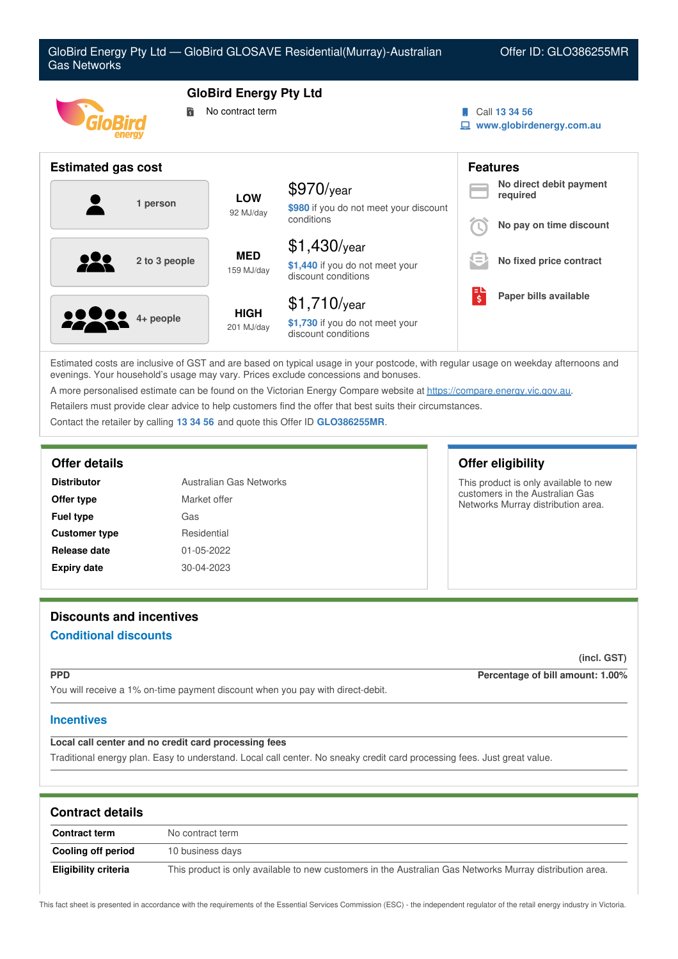

Estimated costs are inclusive of GST and are based on typical usage in your postcode, with regular usage on weekday afternoons and evenings. Your household's usage may vary. Prices exclude concessions and bonuses.

A more personalised estimate can be found on the Victorian Energy Compare website at <https://compare.energy.vic.gov.au>.

Retailers must provide clear advice to help customers find the offer that best suits their circumstances.

Contact the retailer by calling **13 34 56** and quote this Offer ID **GLO386255MR**.

### **Offer details Offer eligibility**

| Australian Gas Networks<br><b>Distributor</b> |              |
|-----------------------------------------------|--------------|
| Offer type                                    | Market offer |
| <b>Fuel type</b>                              | Gas          |
| <b>Customer type</b>                          | Residential  |
| Release date                                  | 01-05-2022   |
| <b>Expiry date</b>                            | 30-04-2023   |

This product is only available to new customers in the Australian Gas Networks Murray distribution area.

# **Discounts and incentives Conditional discounts**

**(incl. GST)**

**PPD Percentage of bill amount: 1.00%**

You will receive a 1% on-time payment discount when you pay with direct-debit.

### **Incentives**

## **Local call center and no credit card processing fees**

Traditional energy plan. Easy to understand. Local call center. No sneaky credit card processing fees. Just great value.

| <b>Contract details</b> |                                                                                                          |
|-------------------------|----------------------------------------------------------------------------------------------------------|
| <b>Contract term</b>    | No contract term                                                                                         |
| Cooling off period      | 10 business days                                                                                         |
| Eligibility criteria    | This product is only available to new customers in the Australian Gas Networks Murray distribution area. |

This fact sheet is presented in accordance with the requirements of the Essential Services Commission (ESC) - the independent regulator of the retail energy industry in Victoria.